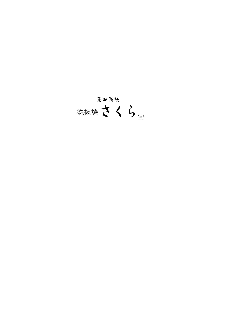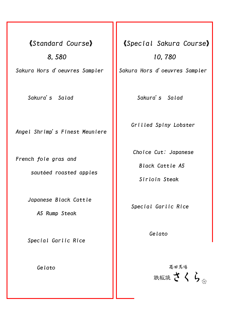《Standard Course》 8,580 Sakura Hors d'oeuvres Sampler

Sakura's Salad

Angel Shrimp's Finest Meuniere

French foie gras and

sautéed roasted apples

Japanese Black Cattle

A5 Rump Steak

Special Garlic Rice

Gelato

《Special Sakura Course》 10,780

L

L

L

L

L

L

L

L

L

L

L

L

L

L

L

L

L

L

L

L

Ļ

Sakura Hors d'oeuvres Sampler

Sakura's Salad

Grilled Spiny Lobster

Choice Cut: Japanese

Black Cattle A5

Sirloin Steak

Special Garlic Rice

Gelato

高田馬場 鉄板焼さくらる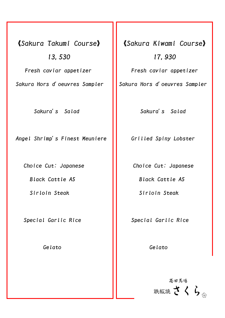《Sakura Takumi Course》 13,530 Fresh caviar appetizer Sakura Hors d'oeuvres Sampler

L

Sakura's Salad

Angel Shrimp's Finest Meuniere

Choice Cut: Japanese

Black Cattle A5

Sirloin Steak

Special Garlic Rice

Gelato

《Sakura Kiwami Course》 17,930

L

L

L

L

L

L

L

L

L

L

L

L

L

L

L

L

L

L

L

L

Fresh caviar appetizer

Sakura Hors d'oeuvres Sampler

Sakura's Salad

Grilled Spiny Lobster

Choice Cut: Japanese

Black Cattle A5

Sirloin Steak

Special Garlic Rice

Gelato

高田馬場 鉄板焼さくら。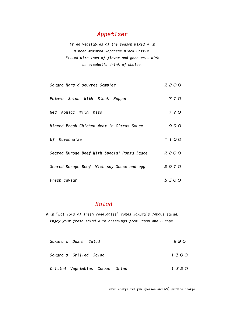## Appetizer

Fried vegetables of the season mixed with minced matured Japanese Black Cattle. Filled with lots of flavor and goes well with an alcoholic drink of choice.

| Sakura Hors d'oeuvres Sampler               | 2200 |
|---------------------------------------------|------|
| Potato Salad With Black Pepper              | 770  |
| Konjac With Miso<br>Red                     | 770  |
| Minced Fresh Chicken Meat in Citrus Sauce   | 990  |
| Uf Mayonnaise                               | 1100 |
| Seared Kuroge Beef With Special Ponzu Sauce | 2200 |
| Seared Kuroge Beef With soy Sauce and egg   | 2970 |
| Fresh caviar                                | 5500 |

## Salad

With "Eat lots of fresh vegetables" comes Sakura's famous salad. Enjoy your fresh salad with dressings from Japan and Europe.

| Sakura's Dashi Salad            | 990  |
|---------------------------------|------|
| Sakura's Grilled Salad          | 1300 |
| Grilled Vegetables Caesar Salad | 1520 |

Cover charge 770 yen /person and 5% service charge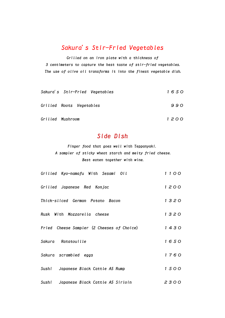### Sakura's Stir-Fried Vegetables

Grilled on an iron plate with a thickness of 3 centimeters to capture the best taste of stir-fried vegetables. The use of olive oil transforms it into the finest vegetable dish.

| Sakura's Stir-Fried Vegetables | 1650 |
|--------------------------------|------|
| Grilled Roots Vegetables       | 990  |
| Grilled Mushroom               | 1200 |

# Side Dish

Finger food that goes well with Teppanyaki. A sampler of sticky wheat starch and melty fried cheese. Best eaten together with wine.

| Grilled Kyo-namafu With Sesami Oil         | 1100 |
|--------------------------------------------|------|
| Grilled Japanese Red Konjac                | 1200 |
| Thick-sliced German Potato Bacon           | 1320 |
| Rusk With Mozzarella cheese                | 1320 |
| Fried Cheese Sampler (2 Cheeses of Choice) | 1430 |
| Sakura Ratatouille                         | 1650 |
| Sakura scrambled eggs                      | 1760 |
| Japanese Black Cattle A5 Rump<br>Sushi     | 1500 |
| Japanese Black Cattle A5 Sirloin<br>Sushi  | 2300 |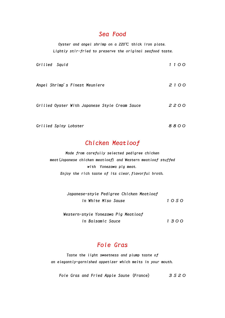#### Sea Food

Oyster and angel shrimp on a 220℃ thick iron plate. Lightly stir-fried to preserve the original seafood taste.

| Grilled Squid                                  | 1100 |
|------------------------------------------------|------|
| Angel Shrimp's Finest Meuniere                 | 2100 |
| Grilled Oyster With Japanese Style Cream Sauce | 2200 |
| Grilled Spiny Lobster                          | 8800 |

### Chicken Meatloof

Made from carefully selected pedigree chicken meat(Japanese chicken meatloaf) and Western meatloaf stuffed with Yonezawa pig meat. Enjoy the rich taste of its clear,flavorful broth.

| Japanese-style Pedigree Chicken Meatloaf |      |
|------------------------------------------|------|
| in White Miso Sause                      | 1050 |
|                                          |      |
| Western-style Yonezawa Pig Meatloaf      |      |

in Balsamic Sauce 1300

# Foie Gras

Taste the light sweetness and plump taste of an elegantly-garnished appetizer which melts in your mouth.

Foie Gras and Fried Apple Saute (France) 3520